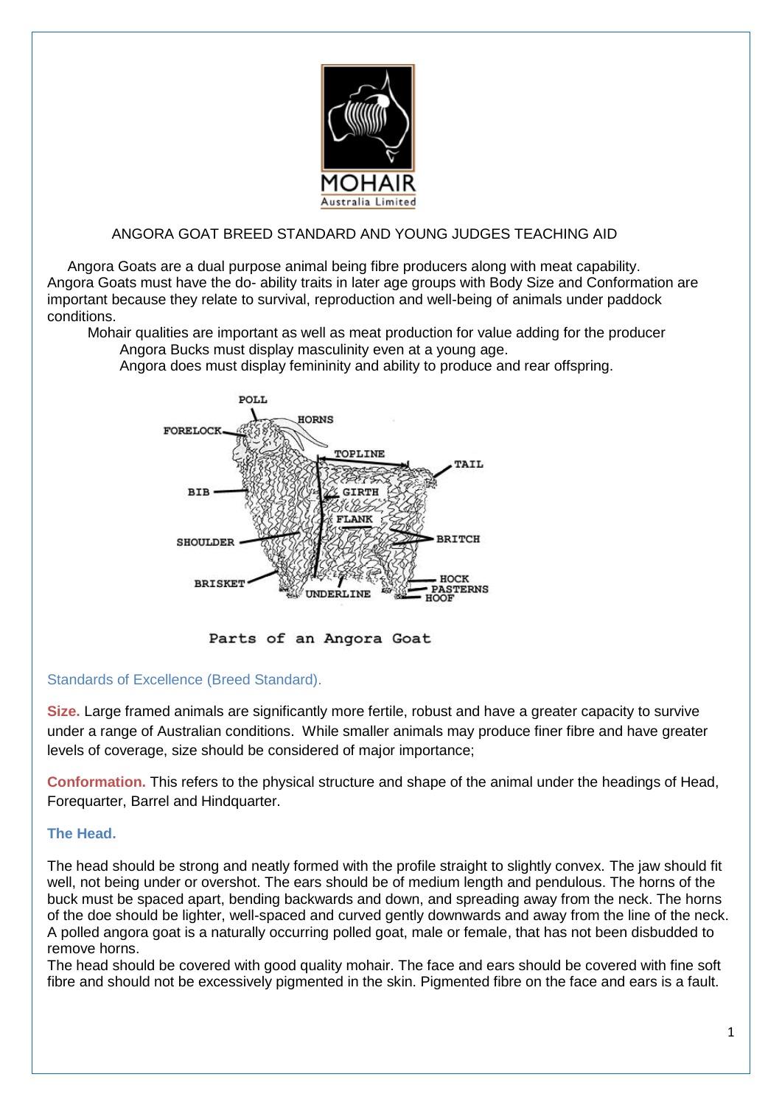

### ANGORA GOAT BREED STANDARD AND YOUNG JUDGES TEACHING AID

 Angora Goats are a dual purpose animal being fibre producers along with meat capability. Angora Goats must have the do- ability traits in later age groups with Body Size and Conformation are important because they relate to survival, reproduction and well-being of animals under paddock conditions.

 Mohair qualities are important as well as meat production for value adding for the producer Angora Bucks must display masculinity even at a young age.

Angora does must display femininity and ability to produce and rear offspring.



Parts of an Angora Goat

#### Standards of Excellence (Breed Standard).

**Size.** Large framed animals are significantly more fertile, robust and have a greater capacity to survive under a range of Australian conditions. While smaller animals may produce finer fibre and have greater levels of coverage, size should be considered of major importance;

**Conformation.** This refers to the physical structure and shape of the animal under the headings of Head, Forequarter, Barrel and Hindquarter.

#### **The Head.**

The head should be strong and neatly formed with the profile straight to slightly convex. The jaw should fit well, not being under or overshot. The ears should be of medium length and pendulous. The horns of the buck must be spaced apart, bending backwards and down, and spreading away from the neck. The horns of the doe should be lighter, well-spaced and curved gently downwards and away from the line of the neck. A polled angora goat is a naturally occurring polled goat, male or female, that has not been disbudded to remove horns.

The head should be covered with good quality mohair. The face and ears should be covered with fine soft fibre and should not be excessively pigmented in the skin. Pigmented fibre on the face and ears is a fault.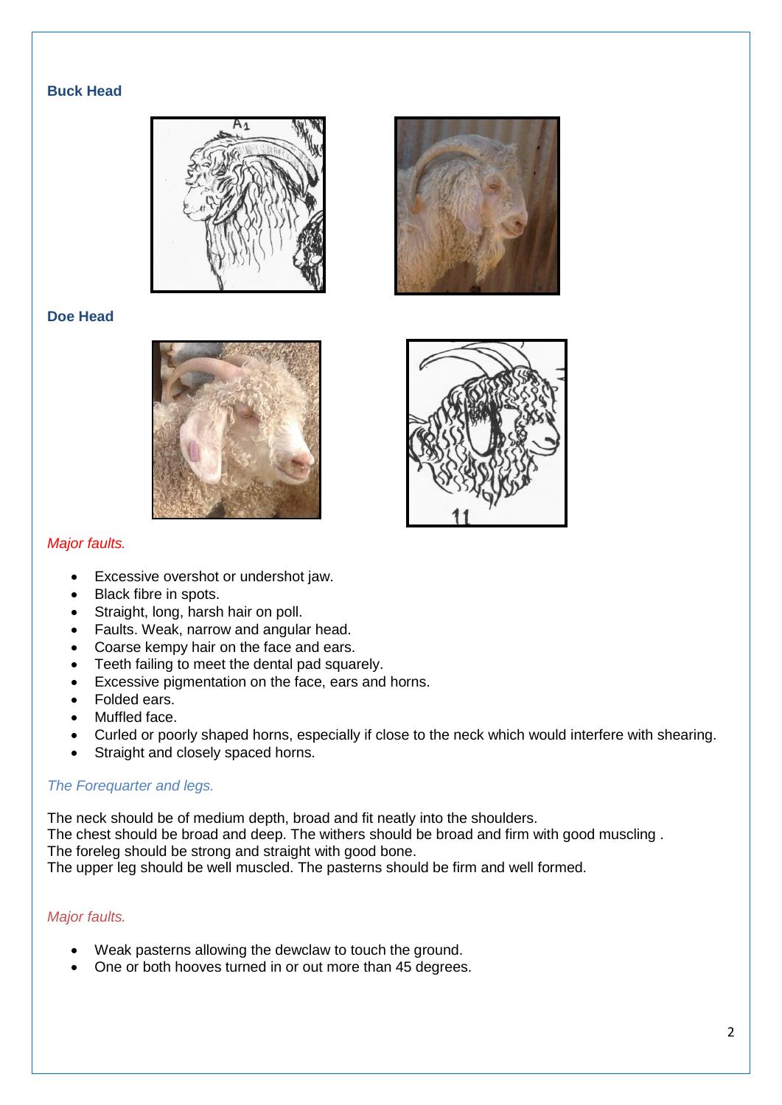## **Buck Head**





## **Doe Head**





## *Major faults.*

- Excessive overshot or undershot jaw.
- Black fibre in spots.
- Straight, long, harsh hair on poll.
- Faults. Weak, narrow and angular head.
- Coarse kempy hair on the face and ears.
- Teeth failing to meet the dental pad squarely.
- Excessive pigmentation on the face, ears and horns.
- Folded ears.
- Muffled face.
- Curled or poorly shaped horns, especially if close to the neck which would interfere with shearing.
- Straight and closely spaced horns.

## *The Forequarter and legs.*

The neck should be of medium depth, broad and fit neatly into the shoulders.

The chest should be broad and deep. The withers should be broad and firm with good muscling . The foreleg should be strong and straight with good bone.

The upper leg should be well muscled. The pasterns should be firm and well formed.

#### *Major faults.*

- Weak pasterns allowing the dewclaw to touch the ground.
- One or both hooves turned in or out more than 45 degrees.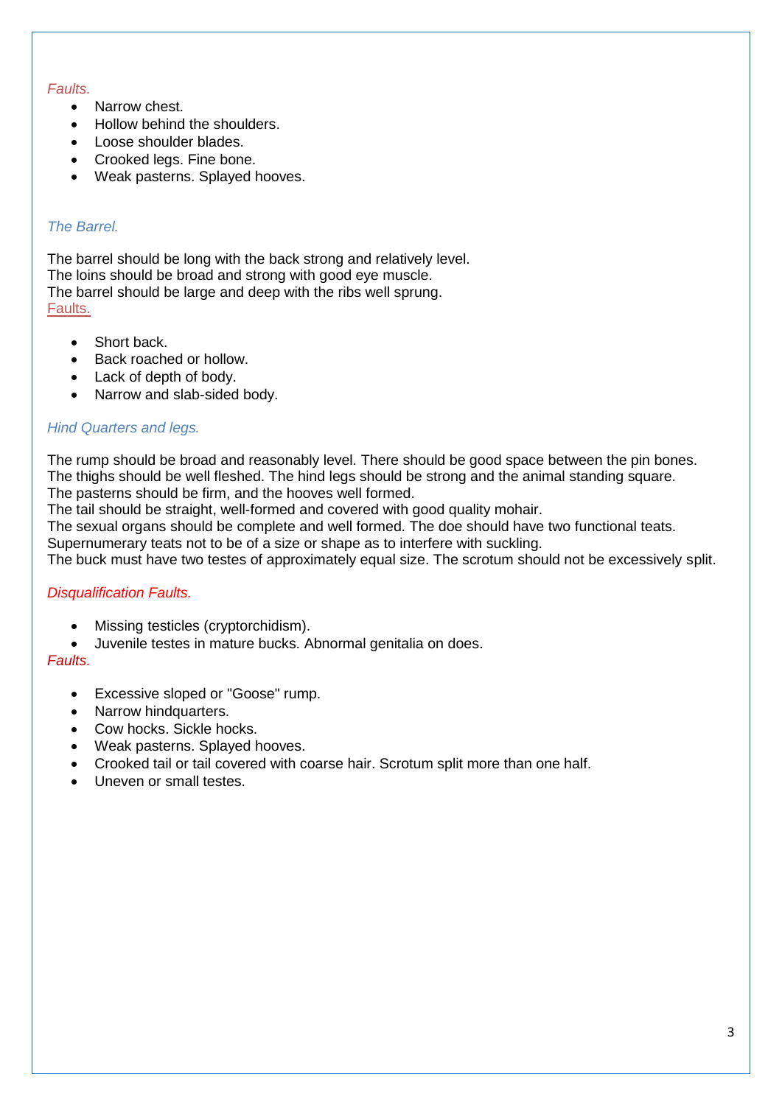### *Faults.*

- Narrow chest.
- Hollow behind the shoulders.
- Loose shoulder blades.
- Crooked legs. Fine bone.
- Weak pasterns. Splayed hooves.

## *The Barrel.*

The barrel should be long with the back strong and relatively level. The loins should be broad and strong with good eye muscle. The barrel should be large and deep with the ribs well sprung. Faults.

- Short back.
- Back roached or hollow.
- Lack of depth of body.
- Narrow and slab-sided body.

#### *Hind Quarters and legs.*

The rump should be broad and reasonably level. There should be good space between the pin bones. The thighs should be well fleshed. The hind legs should be strong and the animal standing square. The pasterns should be firm, and the hooves well formed.

The tail should be straight, well-formed and covered with good quality mohair.

The sexual organs should be complete and well formed. The doe should have two functional teats.

Supernumerary teats not to be of a size or shape as to interfere with suckling.

The buck must have two testes of approximately equal size. The scrotum should not be excessively split.

#### *Disqualification Faults.*

- Missing testicles (cryptorchidism).
- Juvenile testes in mature bucks. Abnormal genitalia on does.

## *Faults.*

- Excessive sloped or "Goose" rump.
- Narrow hindquarters.
- Cow hocks. Sickle hocks.
- Weak pasterns. Splayed hooves.
- Crooked tail or tail covered with coarse hair. Scrotum split more than one half.
- Uneven or small testes.